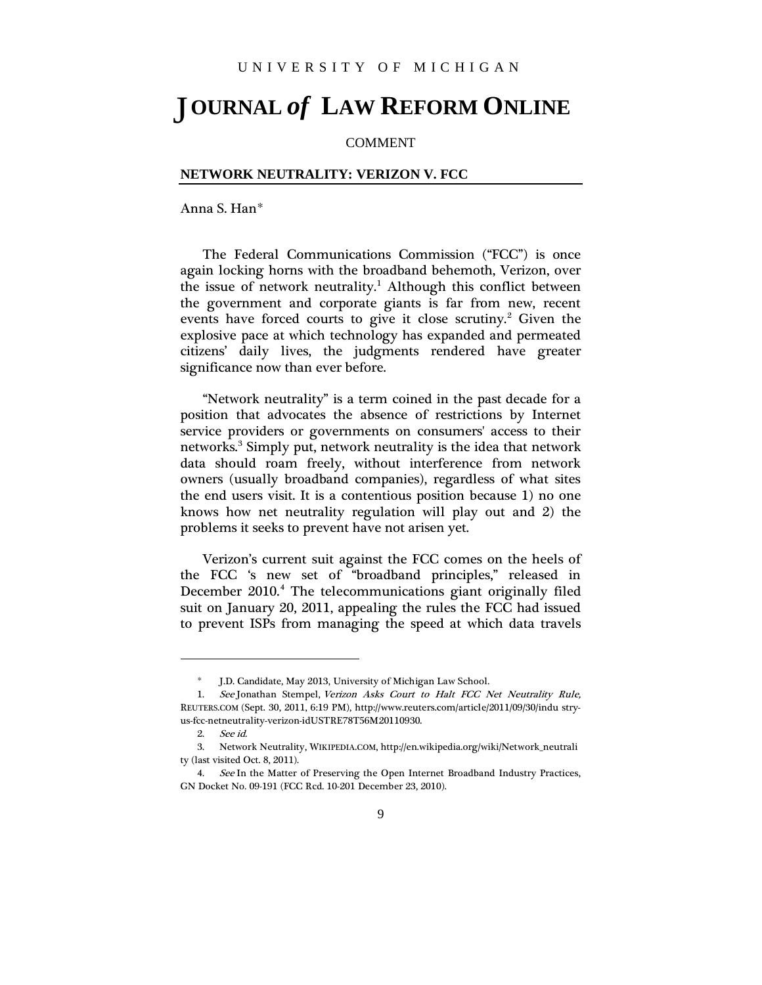## **OURNAL** *of* **LAW REFORM ONLINE** J

## COMMENT

## **NETWORK NEUTRALITY: VERIZON V. FCC**

Anna S. Han[\\*](#page-0-0)

The Federal Communications Commission ("FCC") is once again locking horns with the broadband behemoth, Verizon, over the issue of network neutrality.<sup>[1](#page-0-1)</sup> Although this conflict between the government and corporate giants is far from new, recent events have forced courts to give it close scrutiny.<sup>[2](#page-0-2)</sup> Given the explosive pace at which technology has expanded and permeated citizens' daily lives, the judgments rendered have greater significance now than ever before.

"Network neutrality" is a term coined in the past decade for a position that advocates the absence of restrictions by Internet service providers or governments on consumers' access to their networks.<sup>[3](#page-0-3)</sup> Simply put, network neutrality is the idea that network data should roam freely, without interference from network owners (usually broadband companies), regardless of what sites the end users visit. It is a contentious position because 1) no one knows how net neutrality regulation will play out and 2) the problems it seeks to prevent have not arisen yet.

Verizon's current suit against the FCC comes on the heels of the FCC 's new set of "broadband principles," released in December 2010.<sup>[4](#page-0-4)</sup> The telecommunications giant originally filed suit on January 20, 2011, appealing the rules the FCC had issued to prevent ISPs from managing the speed at which data travels

1

<sup>\*</sup> J.D. Candidate, May 2013, University of Michigan Law School.

<span id="page-0-1"></span><span id="page-0-0"></span><sup>1.</sup> See Jonathan Stempel, Verizon Asks Court to Halt FCC Net Neutrality Rule, REUTERS.COM (Sept. 30, 2011, 6:19 PM), http://www.reuters.com/article/2011/09/30/indu stryus-fcc-netneutrality-verizon-idUSTRE78T56M20110930.

<sup>2.</sup> See id.

<span id="page-0-3"></span><span id="page-0-2"></span><sup>3.</sup> Network Neutrality, WIKIPEDIA.COM, http://en.wikipedia.org/wiki/Network\_neutrali ty (last visited Oct. 8, 2011).

<span id="page-0-4"></span><sup>4.</sup> See In the Matter of Preserving the Open Internet Broadband Industry Practices, GN Docket No. 09-191 (FCC Rcd. 10-201 December 23, 2010).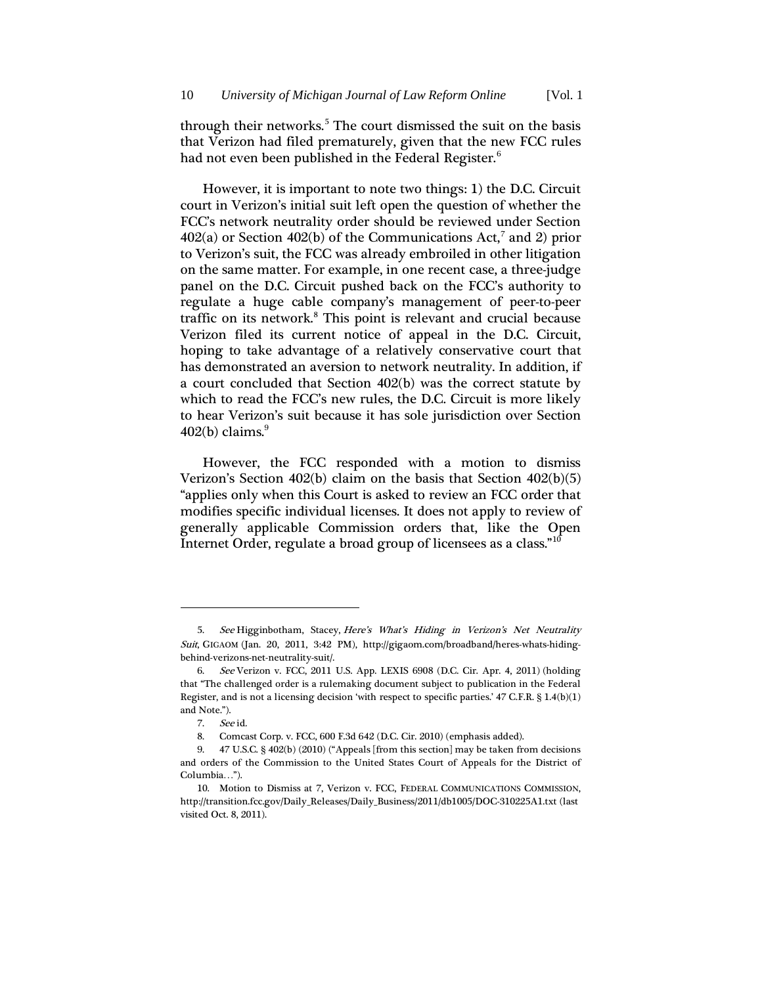through their networks.<sup>[5](#page-1-0)</sup> The court dismissed the suit on the basis that Verizon had filed prematurely, given that the new FCC rules had not even been published in the Federal Register.<sup>[6](#page-1-1)</sup>

However, it is important to note two things: 1) the D.C. Circuit court in Verizon's initial suit left open the question of whether the FCC's network neutrality order should be reviewed under Section  $402(a)$  or Section  $402(b)$  of the Communications Act,<sup>[7](#page-1-2)</sup> and 2) prior to Verizon's suit, the FCC was already embroiled in other litigation on the same matter. For example, in one recent case, a three-judge panel on the D.C. Circuit pushed back on the FCC's authority to regulate a huge cable company's management of peer-to-peer traffic on its network.<sup>[8](#page-1-3)</sup> This point is relevant and crucial because Verizon filed its current notice of appeal in the D.C. Circuit, hoping to take advantage of a relatively conservative court that has demonstrated an aversion to network neutrality. In addition, if a court concluded that Section 402(b) was the correct statute by which to read the FCC's new rules, the D.C. Circuit is more likely to hear Verizon's suit because it has sole jurisdiction over Section  $402(b)$  claims.<sup>[9](#page-1-4)</sup>

However, the FCC responded with a motion to dismiss Verizon's Section 402(b) claim on the basis that Section 402(b)(5) "applies only when this Court is asked to review an FCC order that modifies specific individual licenses. It does not apply to review of generally applicable Commission orders that, like the Open Internet Order, regulate a broad group of licensees as a class."[10](#page-1-5)

1

<span id="page-1-0"></span><sup>5.</sup> See Higginbotham, Stacey, Here's What's Hiding in Verizon's Net Neutrality Suit, GIGAOM (Jan. 20, 2011, 3:42 PM), http://gigaom.com/broadband/heres-whats-hidingbehind-verizons-net-neutrality-suit/.

<span id="page-1-1"></span><sup>6.</sup> See Verizon v. FCC, 2011 U.S. App. LEXIS 6908 (D.C. Cir. Apr. 4, 2011) (holding that "The challenged order is a rulemaking document subject to publication in the Federal Register, and is not a licensing decision 'with respect to specific parties.' 47 C.F.R. § 1.4(b)(1) and Note.").

<sup>7.</sup> See id.

<sup>8.</sup> Comcast Corp. v. FCC, 600 F.3d 642 (D.C. Cir. 2010) (emphasis added).

<span id="page-1-4"></span><span id="page-1-3"></span><span id="page-1-2"></span><sup>9.</sup> 47 U.S.C. § 402(b) (2010) ("Appeals [from this section] may be taken from decisions and orders of the Commission to the United States Court of Appeals for the District of Columbia…").

<span id="page-1-5"></span><sup>10.</sup> Motion to Dismiss at 7, Verizon v. FCC, FEDERAL COMMUNICATIONS COMMISSION, http://transition.fcc.gov/Daily\_Releases/Daily\_Business/2011/db1005/DOC-310225A1.txt (last visited Oct. 8, 2011).